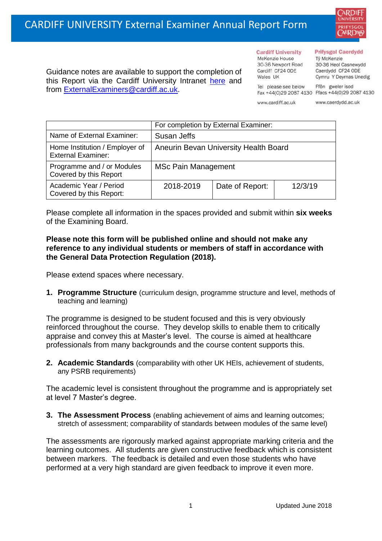

Guidance notes are available to support the completion of this Report via the Cardiff University Intranet [here](https://intranet.cardiff.ac.uk/staff/teaching-and-supporting-students/exams-and-assessment/exam-boards-and-external-examiners/for-current-external-examiners/external-examiners-reports) and from [ExternalExaminers@cardiff.ac.uk.](mailto:ExternalExaminers@cardiff.ac.uk)

## **Prifysgol Caerdydd**

Từ McKenzie 30-36 Heol Casnewydd Caerdydd CF24 ODE Cymru Y Deyrnas Unedig

Tel please see below Fax +44(0)29 2087 4130 Ffacs +44(0)29 2087 4130 www.cardiff.ac.uk

**Cardiff University** 

30-36 Newport Road

McKenzie House

Cardiff CF24 ODE

Wales UK

www.caerdydd.ac.uk

Ffôn gweler isod

|                                                             | For completion by External Examiner:  |                 |         |  |
|-------------------------------------------------------------|---------------------------------------|-----------------|---------|--|
| Name of External Examiner:                                  | Susan Jeffs                           |                 |         |  |
| Home Institution / Employer of<br><b>External Examiner:</b> | Aneurin Bevan University Health Board |                 |         |  |
| Programme and / or Modules<br>Covered by this Report        | <b>MSc Pain Management</b>            |                 |         |  |
| Academic Year / Period<br>Covered by this Report:           | 2018-2019                             | Date of Report: | 12/3/19 |  |

Please complete all information in the spaces provided and submit within **six weeks** of the Examining Board.

## **Please note this form will be published online and should not make any reference to any individual students or members of staff in accordance with the General Data Protection Regulation (2018).**

Please extend spaces where necessary.

**1. Programme Structure** (curriculum design, programme structure and level, methods of teaching and learning)

The programme is designed to be student focused and this is very obviously reinforced throughout the course. They develop skills to enable them to critically appraise and convey this at Master's level. The course is aimed at healthcare professionals from many backgrounds and the course content supports this.

**2. Academic Standards** (comparability with other UK HEIs, achievement of students, any PSRB requirements)

The academic level is consistent throughout the programme and is appropriately set at level 7 Master's degree.

**3. The Assessment Process** (enabling achievement of aims and learning outcomes; stretch of assessment; comparability of standards between modules of the same level)

The assessments are rigorously marked against appropriate marking criteria and the learning outcomes. All students are given constructive feedback which is consistent between markers. The feedback is detailed and even those students who have performed at a very high standard are given feedback to improve it even more.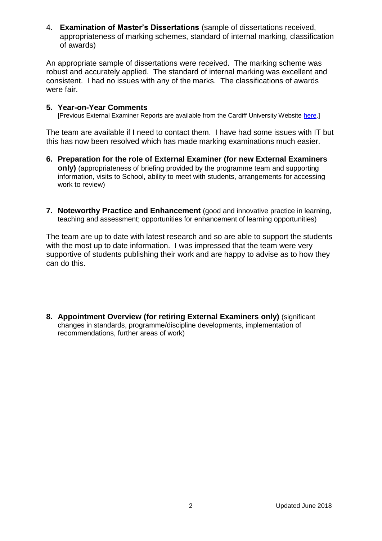4. **Examination of Master's Dissertations** (sample of dissertations received, appropriateness of marking schemes, standard of internal marking, classification of awards)

An appropriate sample of dissertations were received. The marking scheme was robust and accurately applied. The standard of internal marking was excellent and consistent. I had no issues with any of the marks. The classifications of awards were fair.

## **5. Year-on-Year Comments**

[Previous External Examiner Reports are available from the Cardiff University Website [here.](https://www.cardiff.ac.uk/public-information/quality-and-standards/external-examiner-reports)]

The team are available if I need to contact them. I have had some issues with IT but this has now been resolved which has made marking examinations much easier.

- **6. Preparation for the role of External Examiner (for new External Examiners only)** (appropriateness of briefing provided by the programme team and supporting information, visits to School, ability to meet with students, arrangements for accessing work to review)
- **7. Noteworthy Practice and Enhancement** (good and innovative practice in learning, teaching and assessment; opportunities for enhancement of learning opportunities)

The team are up to date with latest research and so are able to support the students with the most up to date information. I was impressed that the team were very supportive of students publishing their work and are happy to advise as to how they can do this.

**8. Appointment Overview (for retiring External Examiners only)** (significant changes in standards, programme/discipline developments, implementation of recommendations, further areas of work)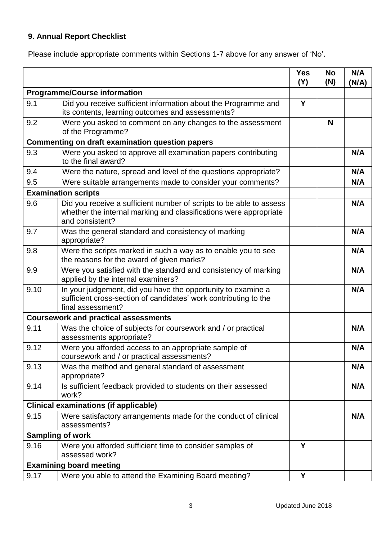## **9. Annual Report Checklist**

Please include appropriate comments within Sections 1-7 above for any answer of 'No'.

|                                                        |                                                                                                                                                             | <b>Yes</b><br>(Y) | <b>No</b><br>(N) | N/A<br>(N/A) |
|--------------------------------------------------------|-------------------------------------------------------------------------------------------------------------------------------------------------------------|-------------------|------------------|--------------|
| <b>Programme/Course information</b>                    |                                                                                                                                                             |                   |                  |              |
| 9.1                                                    | Did you receive sufficient information about the Programme and<br>its contents, learning outcomes and assessments?                                          | Y                 |                  |              |
| 9.2                                                    | Were you asked to comment on any changes to the assessment<br>of the Programme?                                                                             |                   | N                |              |
| <b>Commenting on draft examination question papers</b> |                                                                                                                                                             |                   |                  |              |
| 9.3                                                    | Were you asked to approve all examination papers contributing<br>to the final award?                                                                        |                   |                  | N/A          |
| 9.4                                                    | Were the nature, spread and level of the questions appropriate?                                                                                             |                   |                  | N/A          |
| 9.5                                                    | Were suitable arrangements made to consider your comments?                                                                                                  |                   |                  | N/A          |
|                                                        | <b>Examination scripts</b>                                                                                                                                  |                   |                  |              |
| 9.6                                                    | Did you receive a sufficient number of scripts to be able to assess<br>whether the internal marking and classifications were appropriate<br>and consistent? |                   |                  | N/A          |
| 9.7                                                    | Was the general standard and consistency of marking<br>appropriate?                                                                                         |                   |                  | N/A          |
| 9.8                                                    | Were the scripts marked in such a way as to enable you to see<br>the reasons for the award of given marks?                                                  |                   |                  | N/A          |
| 9.9                                                    | Were you satisfied with the standard and consistency of marking<br>applied by the internal examiners?                                                       |                   |                  | N/A          |
| 9.10                                                   | In your judgement, did you have the opportunity to examine a<br>sufficient cross-section of candidates' work contributing to the<br>final assessment?       |                   |                  | N/A          |
|                                                        | <b>Coursework and practical assessments</b>                                                                                                                 |                   |                  |              |
| 9.11                                                   | Was the choice of subjects for coursework and / or practical<br>assessments appropriate?                                                                    |                   |                  | N/A          |
| 9.12                                                   | Were you afforded access to an appropriate sample of<br>coursework and / or practical assessments?                                                          |                   |                  | N/A          |
| 9.13                                                   | Was the method and general standard of assessment<br>appropriate?                                                                                           |                   |                  | N/A          |
| 9.14                                                   | Is sufficient feedback provided to students on their assessed<br>work?                                                                                      |                   |                  | N/A          |
|                                                        | <b>Clinical examinations (if applicable)</b>                                                                                                                |                   |                  |              |
| 9.15                                                   | Were satisfactory arrangements made for the conduct of clinical<br>assessments?                                                                             |                   |                  | N/A          |
| <b>Sampling of work</b>                                |                                                                                                                                                             |                   |                  |              |
| 9.16                                                   | Were you afforded sufficient time to consider samples of<br>assessed work?                                                                                  | Y                 |                  |              |
|                                                        | <b>Examining board meeting</b>                                                                                                                              |                   |                  |              |
| 9.17                                                   | Were you able to attend the Examining Board meeting?                                                                                                        | Y                 |                  |              |